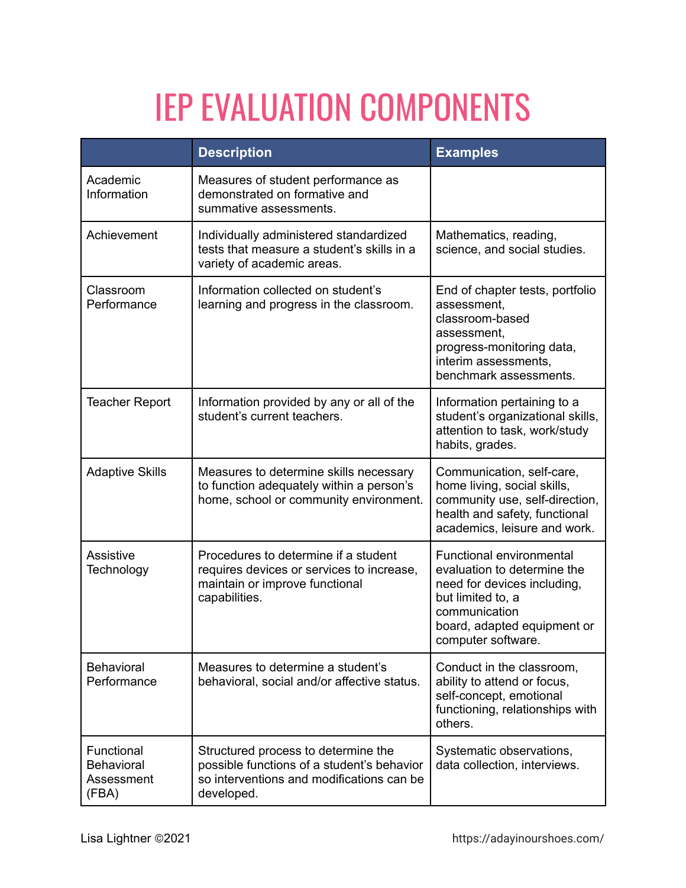## IEP EVALUATION COMPONENTS

|                                                        | <b>Description</b>                                                                                                                           | <b>Examples</b>                                                                                                                                                                         |
|--------------------------------------------------------|----------------------------------------------------------------------------------------------------------------------------------------------|-----------------------------------------------------------------------------------------------------------------------------------------------------------------------------------------|
| Academic<br>Information                                | Measures of student performance as<br>demonstrated on formative and<br>summative assessments.                                                |                                                                                                                                                                                         |
| Achievement                                            | Individually administered standardized<br>tests that measure a student's skills in a<br>variety of academic areas.                           | Mathematics, reading,<br>science, and social studies.                                                                                                                                   |
| Classroom<br>Performance                               | Information collected on student's<br>learning and progress in the classroom.                                                                | End of chapter tests, portfolio<br>assessment,<br>classroom-based<br>assessment,<br>progress-monitoring data,<br>interim assessments.<br>benchmark assessments.                         |
| <b>Teacher Report</b>                                  | Information provided by any or all of the<br>student's current teachers.                                                                     | Information pertaining to a<br>student's organizational skills,<br>attention to task, work/study<br>habits, grades.                                                                     |
| <b>Adaptive Skills</b>                                 | Measures to determine skills necessary<br>to function adequately within a person's<br>home, school or community environment.                 | Communication, self-care,<br>home living, social skills,<br>community use, self-direction,<br>health and safety, functional<br>academics, leisure and work.                             |
| <b>Assistive</b><br>Technology                         | Procedures to determine if a student<br>requires devices or services to increase,<br>maintain or improve functional<br>capabilities.         | <b>Functional environmental</b><br>evaluation to determine the<br>need for devices including,<br>but limited to, a<br>communication<br>board, adapted equipment or<br>computer software |
| <b>Behavioral</b><br>Performance                       | Measures to determine a student's<br>behavioral, social and/or affective status.                                                             | Conduct in the classroom,<br>ability to attend or focus,<br>self-concept, emotional<br>functioning, relationships with<br>others.                                                       |
| Functional<br><b>Behavioral</b><br>Assessment<br>(FBA) | Structured process to determine the<br>possible functions of a student's behavior<br>so interventions and modifications can be<br>developed. | Systematic observations,<br>data collection, interviews.                                                                                                                                |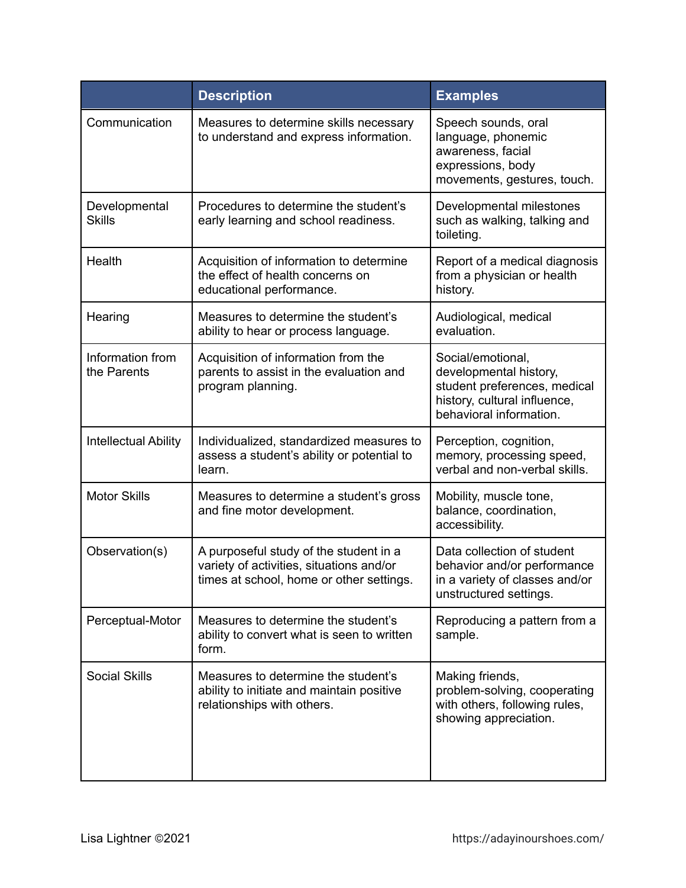|                                 | <b>Description</b>                                                                                                             | <b>Examples</b>                                                                                                                        |
|---------------------------------|--------------------------------------------------------------------------------------------------------------------------------|----------------------------------------------------------------------------------------------------------------------------------------|
| Communication                   | Measures to determine skills necessary<br>to understand and express information.                                               | Speech sounds, oral<br>language, phonemic<br>awareness, facial<br>expressions, body<br>movements, gestures, touch.                     |
| Developmental<br><b>Skills</b>  | Procedures to determine the student's<br>early learning and school readiness.                                                  | Developmental milestones<br>such as walking, talking and<br>toileting.                                                                 |
| Health                          | Acquisition of information to determine<br>the effect of health concerns on<br>educational performance.                        | Report of a medical diagnosis<br>from a physician or health<br>history.                                                                |
| Hearing                         | Measures to determine the student's<br>ability to hear or process language.                                                    | Audiological, medical<br>evaluation.                                                                                                   |
| Information from<br>the Parents | Acquisition of information from the<br>parents to assist in the evaluation and<br>program planning.                            | Social/emotional,<br>developmental history,<br>student preferences, medical<br>history, cultural influence,<br>behavioral information. |
| <b>Intellectual Ability</b>     | Individualized, standardized measures to<br>assess a student's ability or potential to<br>learn.                               | Perception, cognition,<br>memory, processing speed,<br>verbal and non-verbal skills.                                                   |
| <b>Motor Skills</b>             | Measures to determine a student's gross<br>and fine motor development.                                                         | Mobility, muscle tone,<br>balance, coordination,<br>accessibility.                                                                     |
| Observation(s)                  | A purposeful study of the student in a<br>variety of activities, situations and/or<br>times at school, home or other settings. | Data collection of student<br>behavior and/or performance<br>in a variety of classes and/or<br>unstructured settings.                  |
| Perceptual-Motor                | Measures to determine the student's<br>ability to convert what is seen to written<br>form.                                     | Reproducing a pattern from a<br>sample.                                                                                                |
| <b>Social Skills</b>            | Measures to determine the student's<br>ability to initiate and maintain positive<br>relationships with others.                 | Making friends,<br>problem-solving, cooperating<br>with others, following rules,<br>showing appreciation.                              |